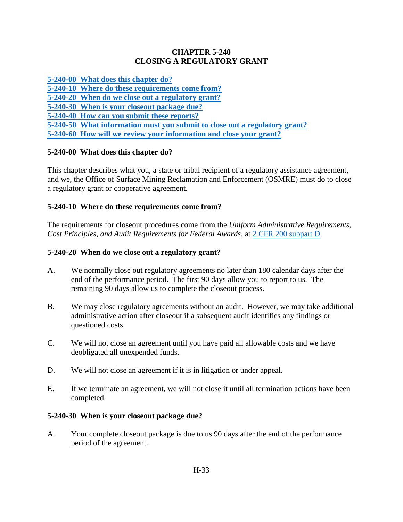# **CHAPTER 5-240 CLOSING A REGULATORY GRANT**

**[5-240-00 What does this chapter do?](#page-0-0)**

**[5-240-10 Where do these requirements come from?](#page-0-1)**

**[5-240-20 When do we close out a regulatory grant?](#page-0-2)**

**[5-240-30 When is your closeout package due?](#page-0-3)**

**[5-240-40 How can you submit these reports?](#page-1-0)**

**[5-240-50 What information must you submit to close out a regulatory grant?](#page-1-1)**

**[5-240-60 How will we review your information and close your grant?](#page-2-0)**

# <span id="page-0-0"></span>**5-240-00 What does this chapter do?**

This chapter describes what you, a state or tribal recipient of a regulatory assistance agreement, and we, the Office of Surface Mining Reclamation and Enforcement (OSMRE) must do to close a regulatory grant or cooperative agreement.

# <span id="page-0-1"></span>**5-240-10 Where do these requirements come from?**

The requirements for closeout procedures come from the *Uniform Administrative Requirements, Cost Principles, and Audit Requirements for Federal Awards*, at [2 CFR 200 subpart D.](http://www.ecfr.gov/cgi-bin/text-idx?SID=3bd3b173eeb54685d68c235a8396c7b0&node=pt2.1.200&rgn=div5)

# <span id="page-0-2"></span>**5-240-20 When do we close out a regulatory grant?**

- A. We normally close out regulatory agreements no later than 180 calendar days after the end of the performance period. The first 90 days allow you to report to us. The remaining 90 days allow us to complete the closeout process.
- B. We may close regulatory agreements without an audit. However, we may take additional administrative action after closeout if a subsequent audit identifies any findings or questioned costs.
- C. We will not close an agreement until you have paid all allowable costs and we have deobligated all unexpended funds.
- D. We will not close an agreement if it is in litigation or under appeal.
- E. If we terminate an agreement, we will not close it until all termination actions have been completed.

# <span id="page-0-3"></span>**5-240-30 When is your closeout package due?**

A. Your complete closeout package is due to us 90 days after the end of the performance period of the agreement.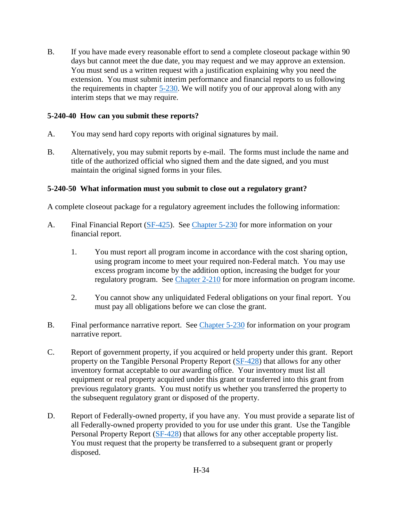B. If you have made every reasonable effort to send a complete closeout package within 90 days but cannot meet the due date, you may request and we may approve an extension. You must send us a written request with a justification explaining why you need the extension. You must submit interim performance and financial reports to us following the requirements in chapter [5-230.](file://///ISMEHEVFS01/UserDataFolderRedirection$/mmagruder/Documents/Matthew/NEPA/Changes%20to%20FAM/Chapters%20with%20edits/For%20submission/Chapter%205-230_2015_Clean.docx) We will notify you of our approval along with any interim steps that we may require.

#### <span id="page-1-0"></span>**5-240-40 How can you submit these reports?**

- A. You may send hard copy reports with original signatures by mail.
- B. Alternatively, you may submit reports by e-mail. The forms must include the name and title of the authorized official who signed them and the date signed, and you must maintain the original signed forms in your files.

#### <span id="page-1-1"></span>**5-240-50 What information must you submit to close out a regulatory grant?**

A complete closeout package for a regulatory agreement includes the following information:

- A. Final Financial Report [\(SF-425\)](https://www.whitehouse.gov/omb/grants_forms/). See [Chapter 5-230](https://www.osmre.gov/lrg/fam/5-230.pdf) for more information on your financial report.
	- 1. You must report all program income in accordance with the cost sharing option, using program income to meet your required non-Federal match. You may use excess program income by the addition option, increasing the budget for your regulatory program. See [Chapter 2-210](https://www.osmre.gov/lrg/fam/2-210.pdf) for more information on program income.
	- 2. You cannot show any unliquidated Federal obligations on your final report. You must pay all obligations before we can close the grant.
- B. Final performance narrative report. See [Chapter 5-230](https://www.osmre.gov/lrg/fam/5-230.pdf) for information on your program narrative report.
- C. Report of government property, if you acquired or held property under this grant. Report property on the Tangible Personal Property Report [\(SF-428\)](https://www.whitehouse.gov/sites/default/files/omb/grants/approved_forms/sf-428.pdf) that allows for any other inventory format acceptable to our awarding office. Your inventory must list all equipment or real property acquired under this grant or transferred into this grant from previous regulatory grants. You must notify us whether you transferred the property to the subsequent regulatory grant or disposed of the property.
- D. Report of Federally-owned property, if you have any. You must provide a separate list of all Federally-owned property provided to you for use under this grant. Use the Tangible Personal Property Report [\(SF-428\)](https://www.whitehouse.gov/sites/default/files/omb/grants/approved_forms/sf-428.pdf) that allows for any other acceptable property list. You must request that the property be transferred to a subsequent grant or properly disposed.